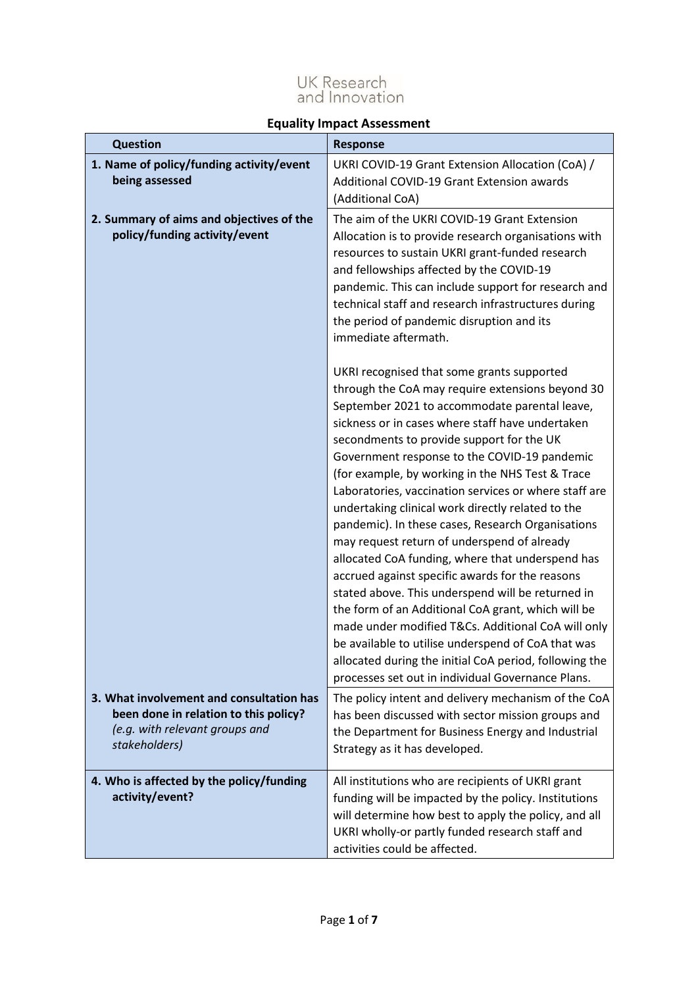# UK Research<br>and Innovation

# **Equality Impact Assessment**

| <b>Question</b>                                                                                                                      | <b>Response</b>                                                                                                                                                                                                                                                                                                                                                                                                                                                                                                                                                                                                                                                                                                                                                                                                                                                                                                                                                                                                     |
|--------------------------------------------------------------------------------------------------------------------------------------|---------------------------------------------------------------------------------------------------------------------------------------------------------------------------------------------------------------------------------------------------------------------------------------------------------------------------------------------------------------------------------------------------------------------------------------------------------------------------------------------------------------------------------------------------------------------------------------------------------------------------------------------------------------------------------------------------------------------------------------------------------------------------------------------------------------------------------------------------------------------------------------------------------------------------------------------------------------------------------------------------------------------|
| 1. Name of policy/funding activity/event<br>being assessed                                                                           | UKRI COVID-19 Grant Extension Allocation (CoA) /<br>Additional COVID-19 Grant Extension awards<br>(Additional CoA)                                                                                                                                                                                                                                                                                                                                                                                                                                                                                                                                                                                                                                                                                                                                                                                                                                                                                                  |
| 2. Summary of aims and objectives of the<br>policy/funding activity/event                                                            | The aim of the UKRI COVID-19 Grant Extension<br>Allocation is to provide research organisations with<br>resources to sustain UKRI grant-funded research<br>and fellowships affected by the COVID-19<br>pandemic. This can include support for research and<br>technical staff and research infrastructures during<br>the period of pandemic disruption and its<br>immediate aftermath.                                                                                                                                                                                                                                                                                                                                                                                                                                                                                                                                                                                                                              |
|                                                                                                                                      | UKRI recognised that some grants supported<br>through the CoA may require extensions beyond 30<br>September 2021 to accommodate parental leave,<br>sickness or in cases where staff have undertaken<br>secondments to provide support for the UK<br>Government response to the COVID-19 pandemic<br>(for example, by working in the NHS Test & Trace<br>Laboratories, vaccination services or where staff are<br>undertaking clinical work directly related to the<br>pandemic). In these cases, Research Organisations<br>may request return of underspend of already<br>allocated CoA funding, where that underspend has<br>accrued against specific awards for the reasons<br>stated above. This underspend will be returned in<br>the form of an Additional CoA grant, which will be<br>made under modified T&Cs. Additional CoA will only<br>be available to utilise underspend of CoA that was<br>allocated during the initial CoA period, following the<br>processes set out in individual Governance Plans. |
| 3. What involvement and consultation has<br>been done in relation to this policy?<br>(e.g. with relevant groups and<br>stakeholders) | The policy intent and delivery mechanism of the CoA<br>has been discussed with sector mission groups and<br>the Department for Business Energy and Industrial<br>Strategy as it has developed.                                                                                                                                                                                                                                                                                                                                                                                                                                                                                                                                                                                                                                                                                                                                                                                                                      |
| 4. Who is affected by the policy/funding<br>activity/event?                                                                          | All institutions who are recipients of UKRI grant<br>funding will be impacted by the policy. Institutions<br>will determine how best to apply the policy, and all<br>UKRI wholly-or partly funded research staff and<br>activities could be affected.                                                                                                                                                                                                                                                                                                                                                                                                                                                                                                                                                                                                                                                                                                                                                               |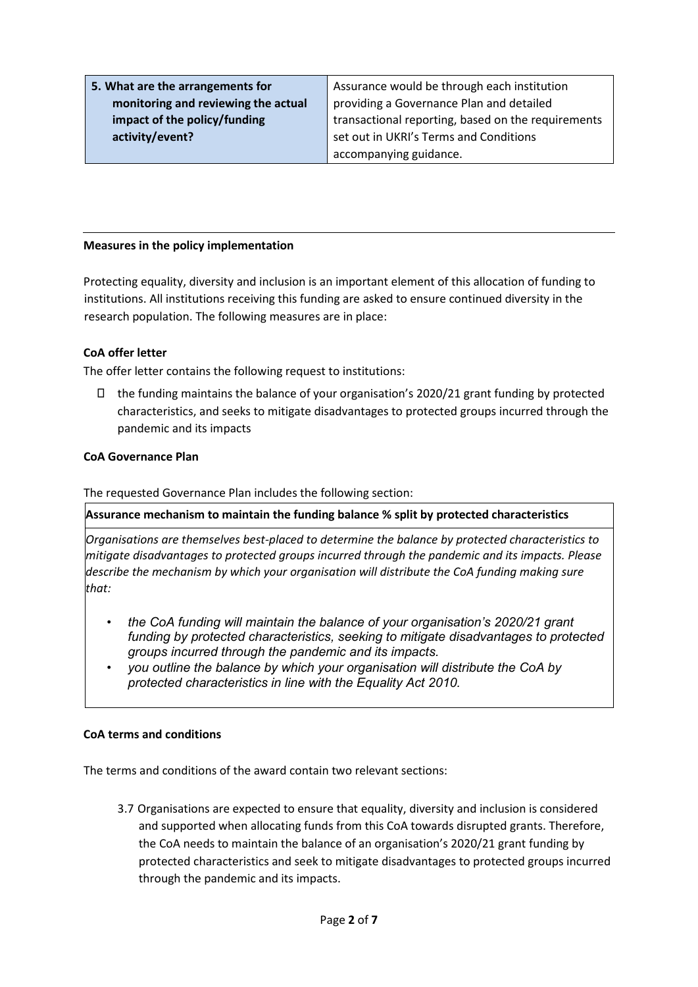**5. What are the arrangements for monitoring and reviewing the actual impact of the policy/funding activity/event?** 

Assurance would be through each institution providing a Governance Plan and detailed transactional reporting, based on the requirements set out in UKRI's Terms and Conditions accompanying guidance.

## **Measures in the policy implementation**

Protecting equality, diversity and inclusion is an important element of this allocation of funding to institutions. All institutions receiving this funding are asked to ensure continued diversity in the research population. The following measures are in place:

## **CoA offer letter**

The offer letter contains the following request to institutions:

 $\Box$  the funding maintains the balance of your organisation's 2020/21 grant funding by protected characteristics, and seeks to mitigate disadvantages to protected groups incurred through the pandemic and its impacts

#### **CoA Governance Plan**

The requested Governance Plan includes the following section:

**Assurance mechanism to maintain the funding balance % split by protected characteristics** 

*Organisations are themselves best-placed to determine the balance by protected characteristics to mitigate disadvantages to protected groups incurred through the pandemic and its impacts. Please describe the mechanism by which your organisation will distribute the CoA funding making sure that:*

- *the CoA funding will maintain the balance of your organisation's 2020/21 grant funding by protected characteristics, seeking to mitigate disadvantages to protected groups incurred through the pandemic and its impacts.*
- *you outline the balance by which your organisation will distribute the CoA by protected characteristics in line with the Equality Act 2010.*

#### **CoA terms and conditions**

The terms and conditions of the award contain two relevant sections:

3.7 Organisations are expected to ensure that equality, diversity and inclusion is considered and supported when allocating funds from this CoA towards disrupted grants. Therefore, the CoA needs to maintain the balance of an organisation's 2020/21 grant funding by protected characteristics and seek to mitigate disadvantages to protected groups incurred through the pandemic and its impacts.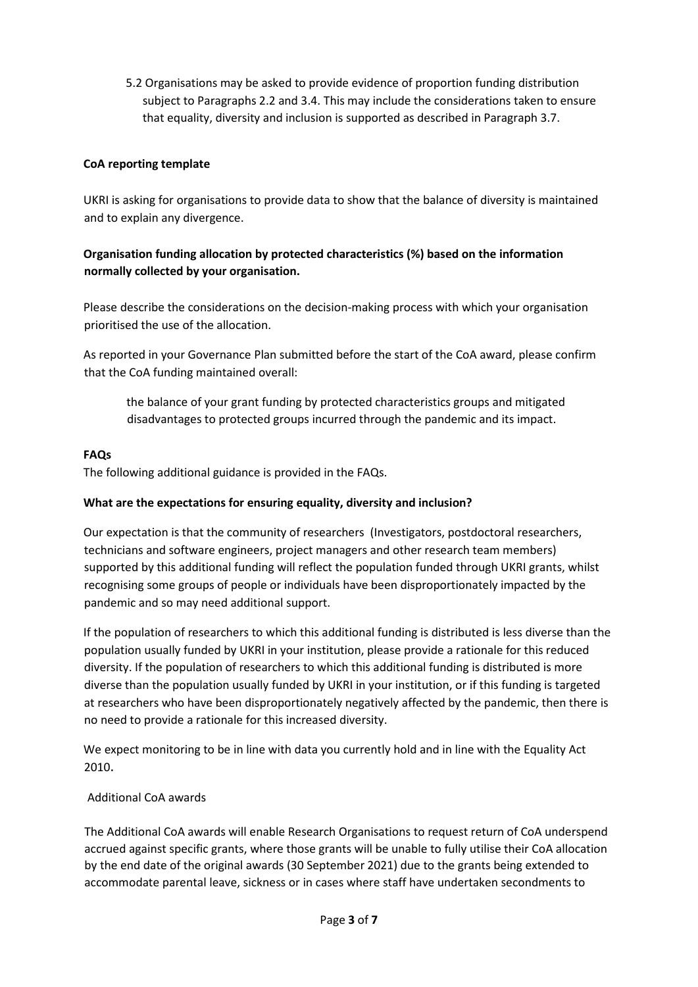5.2 Organisations may be asked to provide evidence of proportion funding distribution subject to Paragraphs 2.2 and 3.4. This may include the considerations taken to ensure that equality, diversity and inclusion is supported as described in Paragraph 3.7.

## **CoA reporting template**

UKRI is asking for organisations to provide data to show that the balance of diversity is maintained and to explain any divergence.

# **Organisation funding allocation by protected characteristics (%) based on the information normally collected by your organisation.**

Please describe the considerations on the decision-making process with which your organisation prioritised the use of the allocation.

As reported in your Governance Plan submitted before the start of the CoA award, please confirm that the CoA funding maintained overall:

the balance of your grant funding by protected characteristics groups and mitigated disadvantages to protected groups incurred through the pandemic and its impact.

## **FAQs**

The following additional guidance is provided in the FAQs.

## **What are the expectations for ensuring equality, diversity and inclusion?**

Our expectation is that the community of researchers (Investigators, postdoctoral researchers, technicians and software engineers, project managers and other research team members) supported by this additional funding will reflect the population funded through UKRI grants, whilst recognising some groups of people or individuals have been disproportionately impacted by the pandemic and so may need additional support.

If the population of researchers to which this additional funding is distributed is less diverse than the population usually funded by UKRI in your institution, please provide a rationale for this reduced diversity. If the population of researchers to which this additional funding is distributed is more diverse than the population usually funded by UKRI in your institution, or if this funding is targeted at researchers who have been disproportionately negatively affected by the pandemic, then there is no need to provide a rationale for this increased diversity.

We expect monitoring to be in line with data you currently hold and in line with the Equality Act 2010.

## Additional CoA awards

The Additional CoA awards will enable Research Organisations to request return of CoA underspend accrued against specific grants, where those grants will be unable to fully utilise their CoA allocation by the end date of the original awards (30 September 2021) due to the grants being extended to accommodate parental leave, sickness or in cases where staff have undertaken secondments to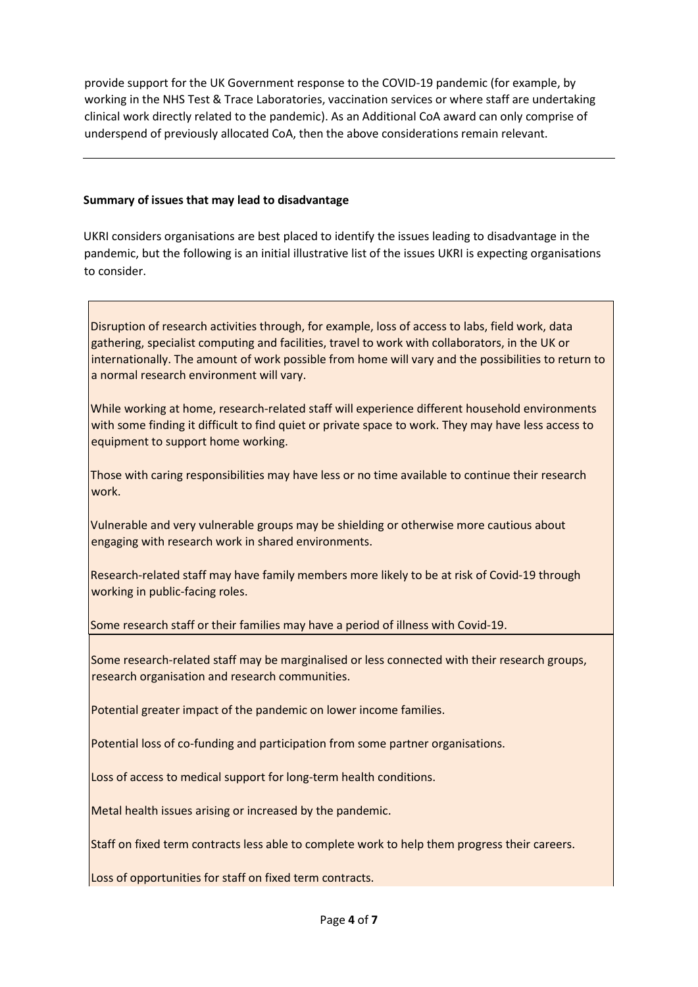provide support for the UK Government response to the COVID-19 pandemic (for example, by working in the NHS Test & Trace Laboratories, vaccination services or where staff are undertaking clinical work directly related to the pandemic). As an Additional CoA award can only comprise of underspend of previously allocated CoA, then the above considerations remain relevant.

## **Summary of issues that may lead to disadvantage**

UKRI considers organisations are best placed to identify the issues leading to disadvantage in the pandemic, but the following is an initial illustrative list of the issues UKRI is expecting organisations to consider.

Disruption of research activities through, for example, loss of access to labs, field work, data gathering, specialist computing and facilities, travel to work with collaborators, in the UK or internationally. The amount of work possible from home will vary and the possibilities to return to a normal research environment will vary.

While working at home, research-related staff will experience different household environments with some finding it difficult to find quiet or private space to work. They may have less access to equipment to support home working.

Those with caring responsibilities may have less or no time available to continue their research work.

Vulnerable and very vulnerable groups may be shielding or otherwise more cautious about engaging with research work in shared environments.

Research-related staff may have family members more likely to be at risk of Covid-19 through working in public-facing roles.

Some research staff or their families may have a period of illness with Covid-19.

Some research-related staff may be marginalised or less connected with their research groups, research organisation and research communities.

Potential greater impact of the pandemic on lower income families.

Potential loss of co-funding and participation from some partner organisations.

Loss of access to medical support for long-term health conditions.

Metal health issues arising or increased by the pandemic.

Staff on fixed term contracts less able to complete work to help them progress their careers.

Loss of opportunities for staff on fixed term contracts.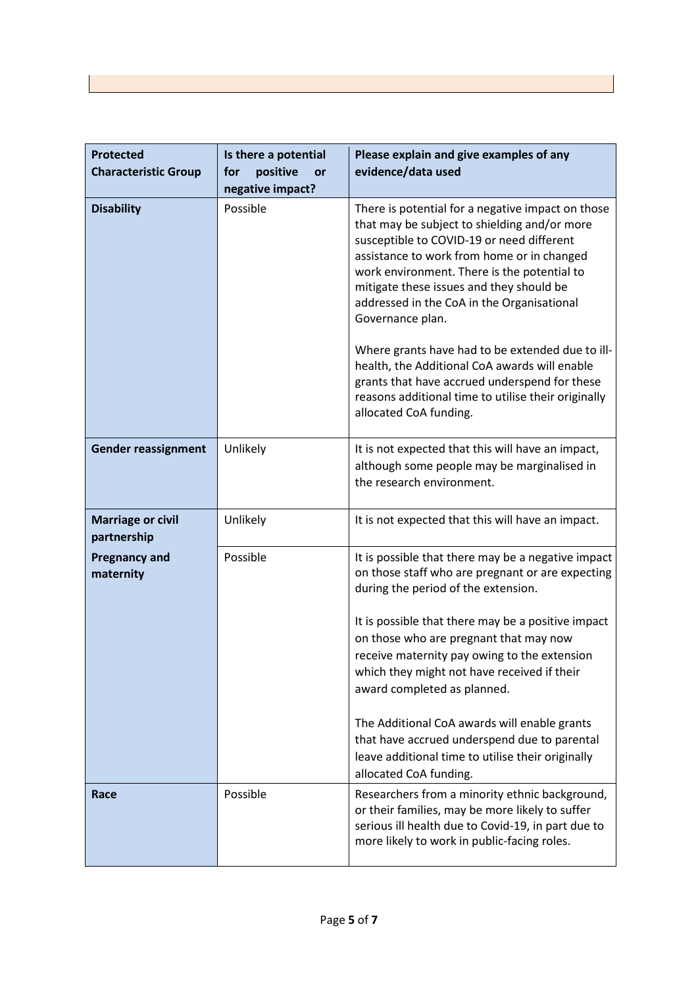| <b>Protected</b><br><b>Characteristic Group</b> | Is there a potential<br>positive<br>for<br><b>or</b><br>negative impact? | Please explain and give examples of any<br>evidence/data used                                                                                                                                                                                                                                                                                                                                                                                                                                                                                                                                    |
|-------------------------------------------------|--------------------------------------------------------------------------|--------------------------------------------------------------------------------------------------------------------------------------------------------------------------------------------------------------------------------------------------------------------------------------------------------------------------------------------------------------------------------------------------------------------------------------------------------------------------------------------------------------------------------------------------------------------------------------------------|
| <b>Disability</b>                               | Possible                                                                 | There is potential for a negative impact on those<br>that may be subject to shielding and/or more<br>susceptible to COVID-19 or need different<br>assistance to work from home or in changed<br>work environment. There is the potential to<br>mitigate these issues and they should be<br>addressed in the CoA in the Organisational<br>Governance plan.<br>Where grants have had to be extended due to ill-<br>health, the Additional CoA awards will enable<br>grants that have accrued underspend for these<br>reasons additional time to utilise their originally<br>allocated CoA funding. |
| <b>Gender reassignment</b>                      | Unlikely                                                                 | It is not expected that this will have an impact,<br>although some people may be marginalised in<br>the research environment.                                                                                                                                                                                                                                                                                                                                                                                                                                                                    |
| <b>Marriage or civil</b><br>partnership         | Unlikely                                                                 | It is not expected that this will have an impact.                                                                                                                                                                                                                                                                                                                                                                                                                                                                                                                                                |
| <b>Pregnancy and</b><br>maternity               | Possible                                                                 | It is possible that there may be a negative impact<br>on those staff who are pregnant or are expecting<br>during the period of the extension.<br>It is possible that there may be a positive impact<br>on those who are pregnant that may now<br>receive maternity pay owing to the extension<br>which they might not have received if their<br>award completed as planned.<br>The Additional CoA awards will enable grants<br>that have accrued underspend due to parental<br>leave additional time to utilise their originally<br>allocated CoA funding.                                       |
| Race                                            | Possible                                                                 | Researchers from a minority ethnic background,<br>or their families, may be more likely to suffer<br>serious ill health due to Covid-19, in part due to<br>more likely to work in public-facing roles.                                                                                                                                                                                                                                                                                                                                                                                           |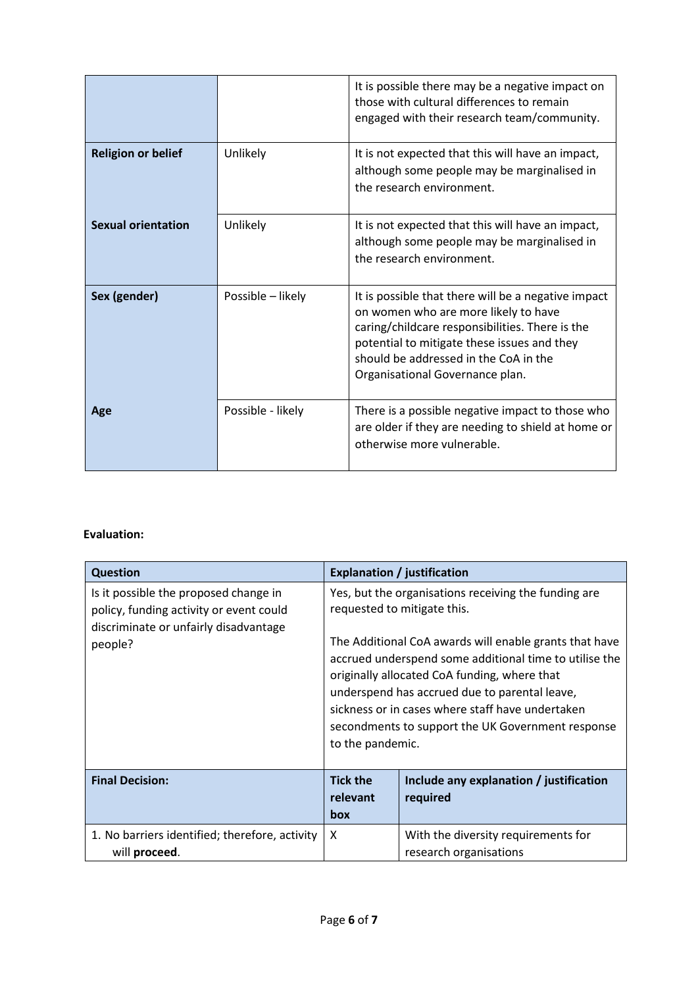|                           |                   | It is possible there may be a negative impact on<br>those with cultural differences to remain<br>engaged with their research team/community.                                                                                                                              |
|---------------------------|-------------------|---------------------------------------------------------------------------------------------------------------------------------------------------------------------------------------------------------------------------------------------------------------------------|
| <b>Religion or belief</b> | Unlikely          | It is not expected that this will have an impact,<br>although some people may be marginalised in<br>the research environment.                                                                                                                                             |
| <b>Sexual orientation</b> | Unlikely          | It is not expected that this will have an impact,<br>although some people may be marginalised in<br>the research environment.                                                                                                                                             |
| Sex (gender)              | Possible - likely | It is possible that there will be a negative impact<br>on women who are more likely to have<br>caring/childcare responsibilities. There is the<br>potential to mitigate these issues and they<br>should be addressed in the CoA in the<br>Organisational Governance plan. |
| Age                       | Possible - likely | There is a possible negative impact to those who<br>are older if they are needing to shield at home or<br>otherwise more vulnerable.                                                                                                                                      |

# **Evaluation:**

| <b>Question</b>                                                                                                                      |                                                                                                                                                                                                                                                                                                                                                                                                                                       | <b>Explanation / justification</b>                            |
|--------------------------------------------------------------------------------------------------------------------------------------|---------------------------------------------------------------------------------------------------------------------------------------------------------------------------------------------------------------------------------------------------------------------------------------------------------------------------------------------------------------------------------------------------------------------------------------|---------------------------------------------------------------|
| Is it possible the proposed change in<br>policy, funding activity or event could<br>discriminate or unfairly disadvantage<br>people? | Yes, but the organisations receiving the funding are<br>requested to mitigate this.<br>The Additional CoA awards will enable grants that have<br>accrued underspend some additional time to utilise the<br>originally allocated CoA funding, where that<br>underspend has accrued due to parental leave,<br>sickness or in cases where staff have undertaken<br>secondments to support the UK Government response<br>to the pandemic. |                                                               |
| <b>Final Decision:</b>                                                                                                               | <b>Tick the</b><br>relevant<br>box                                                                                                                                                                                                                                                                                                                                                                                                    | Include any explanation / justification<br>required           |
| 1. No barriers identified; therefore, activity<br>will proceed.                                                                      | X                                                                                                                                                                                                                                                                                                                                                                                                                                     | With the diversity requirements for<br>research organisations |